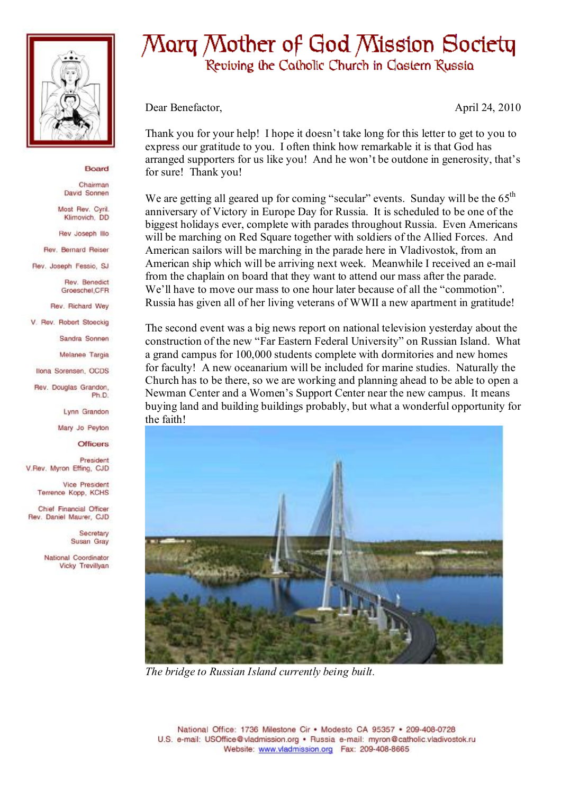

## Board

Chairman David Sonnen

Most Rev. Cyril. Klimovich, DD

Rev Joseph Illo

Rev. Bernard Reiser

Rev. Joseph Fessio, SJ

Rev. Benedict Groeschel.CFR

Rev. Richard Wey

V. Rev. Robert Stoeckig

Sandra Sonnen

Melanee Targia

Ilona Sorensen, OCDS

Rev. Douglas Grandon, Ph<sub>D</sub>

Lynn Grandon

Mary Jo Peyton

**Officers** 

President V.Rev. Myron Effing, CJD

> Vice President Terrence Kopp, KCHS

Chief Financial Officer Rev. Daniel Maurer, CJD

> Secretary Susan Gray

National Coordinator Vicky Trevillyan

## Mary Mother of God Mission Society Reviving the Catholic Church in Clastern Russia

Dear Benefactor,

April 24, 2010

Thank you for your help! I hope it doesn't take long for this letter to get to you to express our gratitude to you. I often think how remarkable it is that God has arranged supporters for us like you! And he won't be outdone in generosity, that's for sure! Thank you!

We are getting all geared up for coming "secular" events. Sunday will be the  $65<sup>th</sup>$ anniversary of Victory in Europe Day for Russia. It is scheduled to be one of the biggest holidays ever, complete with parades throughout Russia. Even Americans will be marching on Red Square together with soldiers of the Allied Forces. And American sailors will be marching in the parade here in Vladivostok, from an American ship which will be arriving next week. Meanwhile I received an e-mail from the chaplain on board that they want to attend our mass after the parade. We'll have to move our mass to one hour later because of all the "commotion". Russia has given all of her living veterans of WWII a new apartment in gratitude!

The second event was a big news report on national television yesterday about the construction of the new "Far Eastern Federal University" on Russian Island. What a grand campus for 100,000 students complete with dormitories and new homes for faculty! A new oceanarium will be included for marine studies. Naturally the Church has to be there, so we are working and planning ahead to be able to open a Newman Center and a Women's Support Center near the new campus. It means buying land and building buildings probably, but what a wonderful opportunity for the faith!



The bridge to Russian Island currently being built.